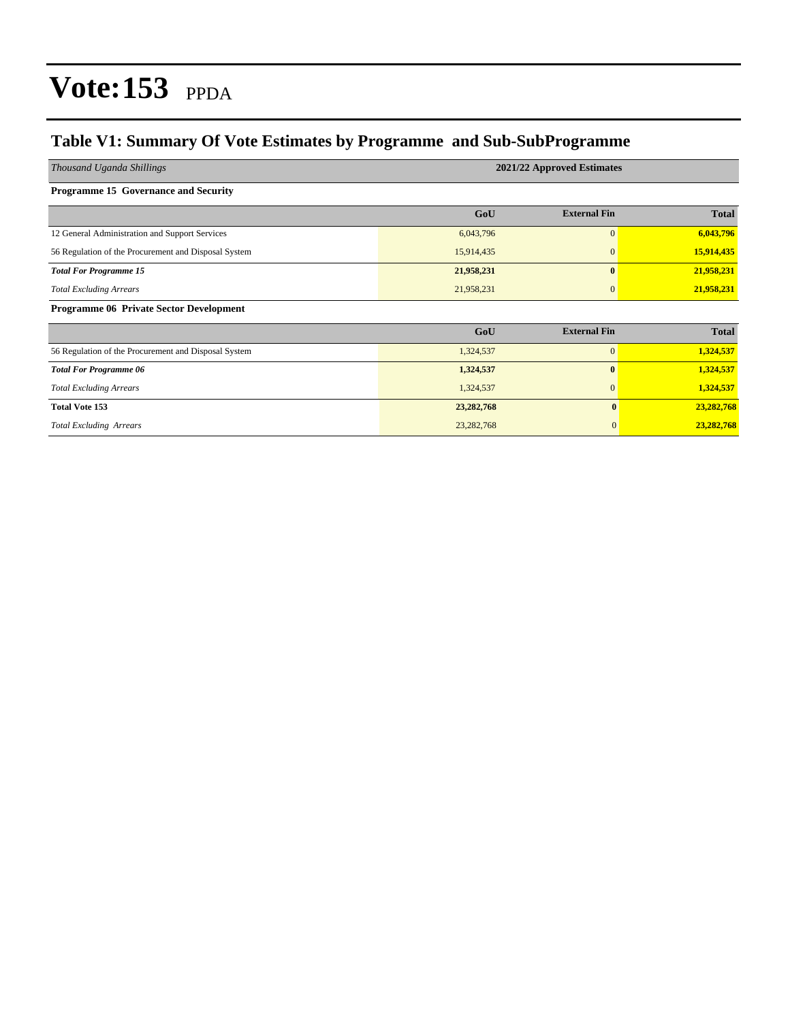#### **Table V1: Summary Of Vote Estimates by Programme and Sub-SubProgramme**

| Thousand Uganda Shillings                            | 2021/22 Approved Estimates |                     |              |  |  |  |  |  |
|------------------------------------------------------|----------------------------|---------------------|--------------|--|--|--|--|--|
| <b>Programme 15 Governance and Security</b>          |                            |                     |              |  |  |  |  |  |
|                                                      | GoU                        | <b>External Fin</b> | <b>Total</b> |  |  |  |  |  |
| 12 General Administration and Support Services       | 6,043,796                  | $\overline{0}$      | 6,043,796    |  |  |  |  |  |
| 56 Regulation of the Procurement and Disposal System | 15,914,435                 | $\mathbf{0}$        | 15,914,435   |  |  |  |  |  |
| <b>Total For Programme 15</b>                        | 21,958,231                 | $\mathbf{0}$        | 21,958,231   |  |  |  |  |  |
| <b>Total Excluding Arrears</b>                       | 21,958,231                 | $\mathbf{0}$        | 21,958,231   |  |  |  |  |  |
| <b>Programme 06 Private Sector Development</b>       |                            |                     |              |  |  |  |  |  |
|                                                      | GoU                        | <b>External Fin</b> | <b>Total</b> |  |  |  |  |  |
| 56 Regulation of the Procurement and Disposal System | 1,324,537                  | $\overline{0}$      | 1,324,537    |  |  |  |  |  |
| <b>Total For Programme 06</b>                        | 1,324,537                  | $\mathbf{0}$        | 1,324,537    |  |  |  |  |  |
| <b>Total Excluding Arrears</b>                       | 1,324,537                  | $\mathbf{0}$        | 1,324,537    |  |  |  |  |  |
| <b>Total Vote 153</b>                                | 23,282,768                 | $\bf{0}$            | 23,282,768   |  |  |  |  |  |
| <b>Total Excluding Arrears</b>                       | 23,282,768                 | $\mathbf{0}$        | 23,282,768   |  |  |  |  |  |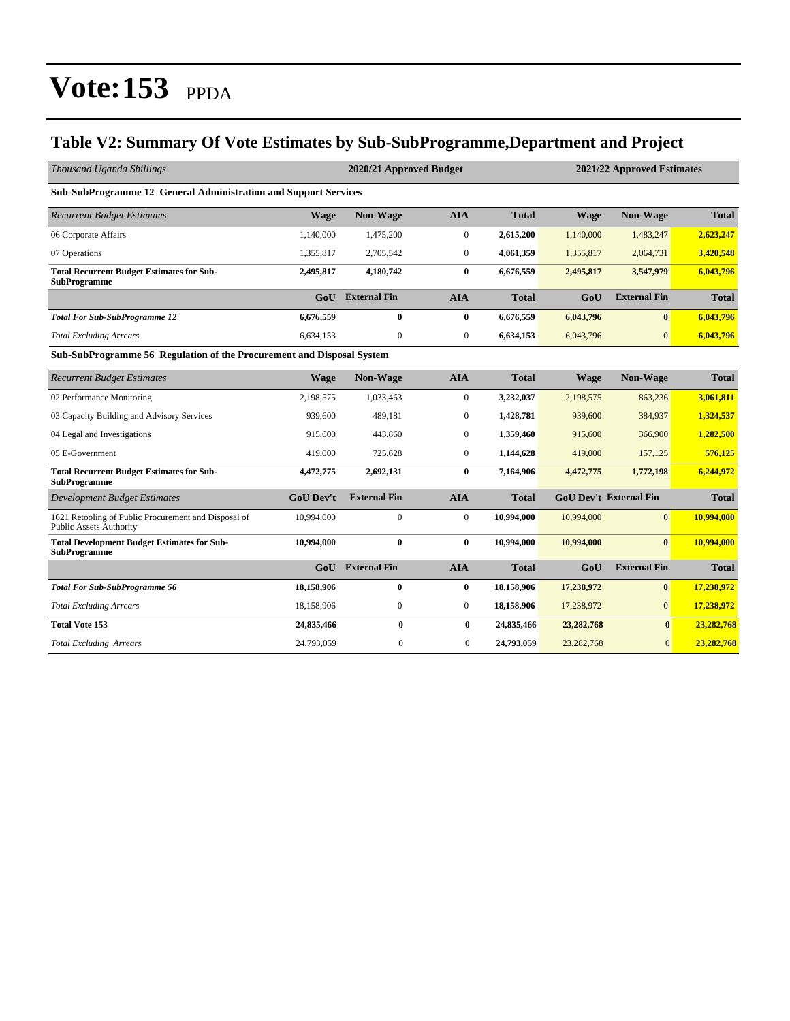#### **Table V2: Summary Of Vote Estimates by Sub-SubProgramme,Department and Project**

| Thousand Uganda Shillings                                                              |                  | 2020/21 Approved Budget |                  |              | 2021/22 Approved Estimates |                               |              |  |  |  |  |
|----------------------------------------------------------------------------------------|------------------|-------------------------|------------------|--------------|----------------------------|-------------------------------|--------------|--|--|--|--|
| Sub-SubProgramme 12 General Administration and Support Services                        |                  |                         |                  |              |                            |                               |              |  |  |  |  |
| <b>Recurrent Budget Estimates</b>                                                      | <b>Wage</b>      | <b>Non-Wage</b>         | <b>AIA</b>       | <b>Total</b> | <b>Wage</b>                | Non-Wage                      | <b>Total</b> |  |  |  |  |
| 06 Corporate Affairs                                                                   | 1,140,000        | 1,475,200               | $\boldsymbol{0}$ | 2,615,200    | 1,140,000                  | 1,483,247                     | 2,623,247    |  |  |  |  |
| 07 Operations                                                                          | 1,355,817        | 2,705,542               | $\boldsymbol{0}$ | 4,061,359    | 1,355,817                  | 2,064,731                     | 3,420,548    |  |  |  |  |
| <b>Total Recurrent Budget Estimates for Sub-</b><br><b>SubProgramme</b>                | 2,495,817        | 4,180,742               | $\bf{0}$         | 6,676,559    | 2,495,817                  | 3,547,979                     | 6,043,796    |  |  |  |  |
|                                                                                        | GoU              | <b>External Fin</b>     | <b>AIA</b>       | <b>Total</b> | GoU                        | <b>External Fin</b>           | <b>Total</b> |  |  |  |  |
| <b>Total For Sub-SubProgramme 12</b>                                                   | 6,676,559        | $\bf{0}$                | $\bf{0}$         | 6,676,559    | 6,043,796                  | $\bf{0}$                      | 6,043,796    |  |  |  |  |
| <b>Total Excluding Arrears</b>                                                         | 6,634,153        | $\boldsymbol{0}$        | $\boldsymbol{0}$ | 6,634,153    | 6,043,796                  | $\overline{0}$                | 6,043,796    |  |  |  |  |
| Sub-SubProgramme 56 Regulation of the Procurement and Disposal System                  |                  |                         |                  |              |                            |                               |              |  |  |  |  |
| <b>Recurrent Budget Estimates</b>                                                      | <b>Wage</b>      | <b>Non-Wage</b>         | <b>AIA</b>       | <b>Total</b> | <b>Wage</b>                | Non-Wage                      | <b>Total</b> |  |  |  |  |
| 02 Performance Monitoring                                                              | 2,198,575        | 1,033,463               | $\mathbf{0}$     | 3,232,037    | 2,198,575                  | 863,236                       | 3,061,811    |  |  |  |  |
| 03 Capacity Building and Advisory Services                                             | 939,600          | 489,181                 | $\mathbf{0}$     | 1,428,781    | 939,600                    | 384,937                       | 1,324,537    |  |  |  |  |
| 04 Legal and Investigations                                                            | 915,600          | 443,860                 | $\boldsymbol{0}$ | 1,359,460    | 915,600                    | 366,900                       | 1,282,500    |  |  |  |  |
| 05 E-Government                                                                        | 419,000          | 725,628                 | $\mathbf{0}$     | 1,144,628    | 419,000                    | 157,125                       | 576,125      |  |  |  |  |
| <b>Total Recurrent Budget Estimates for Sub-</b><br><b>SubProgramme</b>                | 4,472,775        | 2,692,131               | $\bf{0}$         | 7,164,906    | 4,472,775                  | 1,772,198                     | 6,244,972    |  |  |  |  |
| <b>Development Budget Estimates</b>                                                    | <b>GoU Dev't</b> | <b>External Fin</b>     | <b>AIA</b>       | <b>Total</b> |                            | <b>GoU Dev't External Fin</b> | <b>Total</b> |  |  |  |  |
| 1621 Retooling of Public Procurement and Disposal of<br><b>Public Assets Authority</b> | 10,994,000       | $\boldsymbol{0}$        | $\boldsymbol{0}$ | 10,994,000   | 10,994,000                 | $\overline{0}$                | 10,994,000   |  |  |  |  |
| <b>Total Development Budget Estimates for Sub-</b><br><b>SubProgramme</b>              | 10,994,000       | $\bf{0}$                | $\bf{0}$         | 10,994,000   | 10,994,000                 | $\mathbf{0}$                  | 10,994,000   |  |  |  |  |
|                                                                                        | GoU              | <b>External Fin</b>     | <b>AIA</b>       | <b>Total</b> | GoU                        | <b>External Fin</b>           | <b>Total</b> |  |  |  |  |
| <b>Total For Sub-SubProgramme 56</b>                                                   | 18.158.906       | $\bf{0}$                | $\bf{0}$         | 18,158,906   | 17,238,972                 | $\bf{0}$                      | 17,238,972   |  |  |  |  |
| <b>Total Excluding Arrears</b>                                                         | 18,158,906       | $\boldsymbol{0}$        | $\boldsymbol{0}$ | 18,158,906   | 17,238,972                 | $\overline{0}$                | 17,238,972   |  |  |  |  |
| <b>Total Vote 153</b>                                                                  | 24,835,466       | $\bf{0}$                | $\bf{0}$         | 24,835,466   | 23,282,768                 | $\bf{0}$                      | 23,282,768   |  |  |  |  |
| <b>Total Excluding Arrears</b>                                                         | 24,793,059       | $\mathbf{0}$            | $\overline{0}$   | 24,793,059   | 23, 282, 768               | $\mathbf{0}$                  | 23,282,768   |  |  |  |  |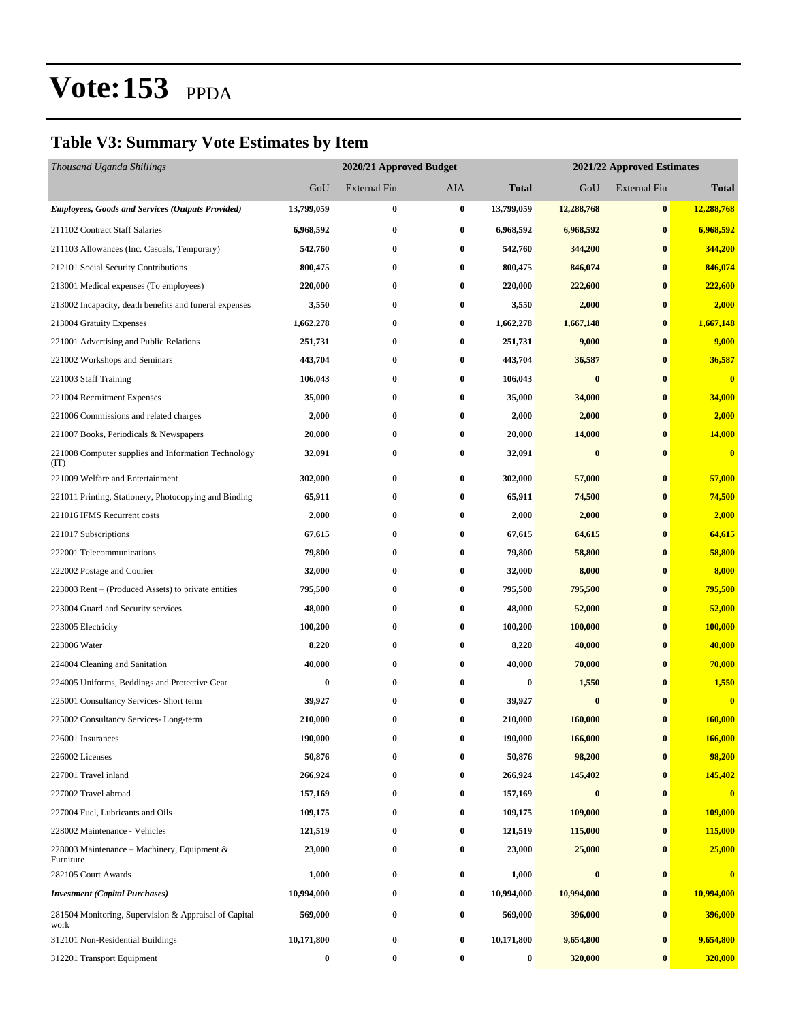#### **Table V3: Summary Vote Estimates by Item**

| Thousand Uganda Shillings                                     |                  | 2020/21 Approved Budget |                  |                  |            | 2021/22 Approved Estimates |              |
|---------------------------------------------------------------|------------------|-------------------------|------------------|------------------|------------|----------------------------|--------------|
|                                                               | GoU              | External Fin            | AIA              | <b>Total</b>     | GoU        | <b>External Fin</b>        | <b>Total</b> |
| <b>Employees, Goods and Services (Outputs Provided)</b>       | 13,799,059       | $\bf{0}$                | $\bf{0}$         | 13,799,059       | 12,288,768 | $\bf{0}$                   | 12,288,768   |
| 211102 Contract Staff Salaries                                | 6,968,592        | $\bf{0}$                | $\bf{0}$         | 6,968,592        | 6,968,592  | $\bf{0}$                   | 6,968,592    |
| 211103 Allowances (Inc. Casuals, Temporary)                   | 542,760          | $\bf{0}$                | $\bf{0}$         | 542,760          | 344,200    | $\bf{0}$                   | 344,200      |
| 212101 Social Security Contributions                          | 800,475          | $\bf{0}$                | $\bf{0}$         | 800,475          | 846,074    | $\bf{0}$                   | 846,074      |
| 213001 Medical expenses (To employees)                        | 220,000          | $\bf{0}$                | $\bf{0}$         | 220,000          | 222,600    | $\bf{0}$                   | 222,600      |
| 213002 Incapacity, death benefits and funeral expenses        | 3,550            | $\bf{0}$                | $\bf{0}$         | 3,550            | 2,000      | $\bf{0}$                   | 2,000        |
| 213004 Gratuity Expenses                                      | 1,662,278        | 0                       | $\bf{0}$         | 1,662,278        | 1,667,148  | $\bf{0}$                   | 1,667,148    |
| 221001 Advertising and Public Relations                       | 251,731          | $\bf{0}$                | $\bf{0}$         | 251,731          | 9,000      | $\bf{0}$                   | 9,000        |
| 221002 Workshops and Seminars                                 | 443,704          | $\bf{0}$                | $\bf{0}$         | 443,704          | 36,587     | $\bf{0}$                   | 36,587       |
| 221003 Staff Training                                         | 106,043          | $\bf{0}$                | $\bf{0}$         | 106,043          | $\bf{0}$   | $\bf{0}$                   | $\bf{0}$     |
| 221004 Recruitment Expenses                                   | 35,000           | $\bf{0}$                | $\bf{0}$         | 35,000           | 34,000     | $\bf{0}$                   | 34,000       |
| 221006 Commissions and related charges                        | 2,000            | 0                       | 0                | 2,000            | 2,000      | $\bf{0}$                   | 2,000        |
| 221007 Books, Periodicals & Newspapers                        | 20,000           | $\bf{0}$                | 0                | 20,000           | 14,000     | $\bf{0}$                   | 14,000       |
| 221008 Computer supplies and Information Technology<br>(TT)   | 32,091           | $\bf{0}$                | 0                | 32,091           | $\bf{0}$   | $\bf{0}$                   | $\bf{0}$     |
| 221009 Welfare and Entertainment                              | 302,000          | $\bf{0}$                | $\bf{0}$         | 302,000          | 57,000     | $\bf{0}$                   | 57,000       |
| 221011 Printing, Stationery, Photocopying and Binding         | 65,911           | $\bf{0}$                | $\bf{0}$         | 65,911           | 74,500     | $\bf{0}$                   | 74,500       |
| 221016 IFMS Recurrent costs                                   | 2,000            | $\bf{0}$                | $\bf{0}$         | 2,000            | 2,000      | $\bf{0}$                   | 2,000        |
| 221017 Subscriptions                                          | 67,615           | $\bf{0}$                | $\bf{0}$         | 67,615           | 64,615     | $\bf{0}$                   | 64,615       |
| 222001 Telecommunications                                     | 79,800           | $\bf{0}$                | $\bf{0}$         | 79,800           | 58,800     | $\bf{0}$                   | 58,800       |
| 222002 Postage and Courier                                    | 32,000           | $\bf{0}$                | 0                | 32,000           | 8,000      | $\bf{0}$                   | 8,000        |
| 223003 Rent – (Produced Assets) to private entities           | 795,500          | 0                       | $\bf{0}$         | 795,500          | 795,500    | $\bf{0}$                   | 795,500      |
| 223004 Guard and Security services                            | 48,000           | $\bf{0}$                | $\bf{0}$         | 48,000           | 52,000     | $\bf{0}$                   | 52,000       |
| 223005 Electricity                                            | 100,200          | $\bf{0}$                | $\bf{0}$         | 100,200          | 100,000    | $\bf{0}$                   | 100,000      |
| 223006 Water                                                  | 8,220            | $\bf{0}$                | $\bf{0}$         | 8,220            | 40,000     | $\bf{0}$                   | 40,000       |
| 224004 Cleaning and Sanitation                                | 40,000           | 0                       | 0                | 40,000           | 70,000     | $\bf{0}$                   | 70,000       |
| 224005 Uniforms, Beddings and Protective Gear                 | $\boldsymbol{0}$ | 0                       | 0                | $\boldsymbol{0}$ | 1,550      | $\bf{0}$                   | 1,550        |
| 225001 Consultancy Services- Short term                       | 39,927           | 0                       | $\bf{0}$         | 39,927           | $\bf{0}$   | $\bf{0}$                   | $\bf{0}$     |
| 225002 Consultancy Services-Long-term                         | 210,000          | $\bf{0}$                | $\bf{0}$         | 210,000          | 160,000    | $\bf{0}$                   | 160,000      |
| 226001 Insurances                                             | 190,000          | 0                       | $\boldsymbol{0}$ | 190,000          | 166,000    | $\pmb{0}$                  | 166,000      |
| 226002 Licenses                                               | 50,876           | $\bf{0}$                | $\bf{0}$         | 50,876           | 98,200     | $\bf{0}$                   | 98,200       |
| 227001 Travel inland                                          | 266,924          | $\bf{0}$                | $\bf{0}$         | 266,924          | 145,402    | $\bf{0}$                   | 145,402      |
| 227002 Travel abroad                                          | 157,169          | $\bf{0}$                | $\bf{0}$         | 157,169          | $\bf{0}$   | $\bf{0}$                   | $\bf{0}$     |
| 227004 Fuel, Lubricants and Oils                              | 109,175          | 0                       | $\bf{0}$         | 109,175          | 109,000    | $\bf{0}$                   | 109,000      |
| 228002 Maintenance - Vehicles                                 | 121,519          | 0                       | $\bf{0}$         | 121,519          | 115,000    | $\bf{0}$                   | 115,000      |
| 228003 Maintenance – Machinery, Equipment &<br>Furniture      | 23,000           | $\bf{0}$                | $\bf{0}$         | 23,000           | 25,000     | $\bf{0}$                   | 25,000       |
| 282105 Court Awards                                           | 1,000            | $\bf{0}$                | $\bf{0}$         | 1,000            | $\bf{0}$   | $\bf{0}$                   | $\bf{0}$     |
| <b>Investment</b> (Capital Purchases)                         | 10,994,000       | $\bf{0}$                | $\bf{0}$         | 10,994,000       | 10,994,000 | $\bf{0}$                   | 10,994,000   |
| 281504 Monitoring, Supervision & Appraisal of Capital<br>work | 569,000          | $\bf{0}$                | $\bf{0}$         | 569,000          | 396,000    | $\bf{0}$                   | 396,000      |
| 312101 Non-Residential Buildings                              | 10,171,800       | $\bf{0}$                | $\bf{0}$         | 10,171,800       | 9,654,800  | $\bf{0}$                   | 9,654,800    |
| 312201 Transport Equipment                                    | 0                | $\bf{0}$                | $\bf{0}$         | $\boldsymbol{0}$ | 320,000    | $\bf{0}$                   | 320,000      |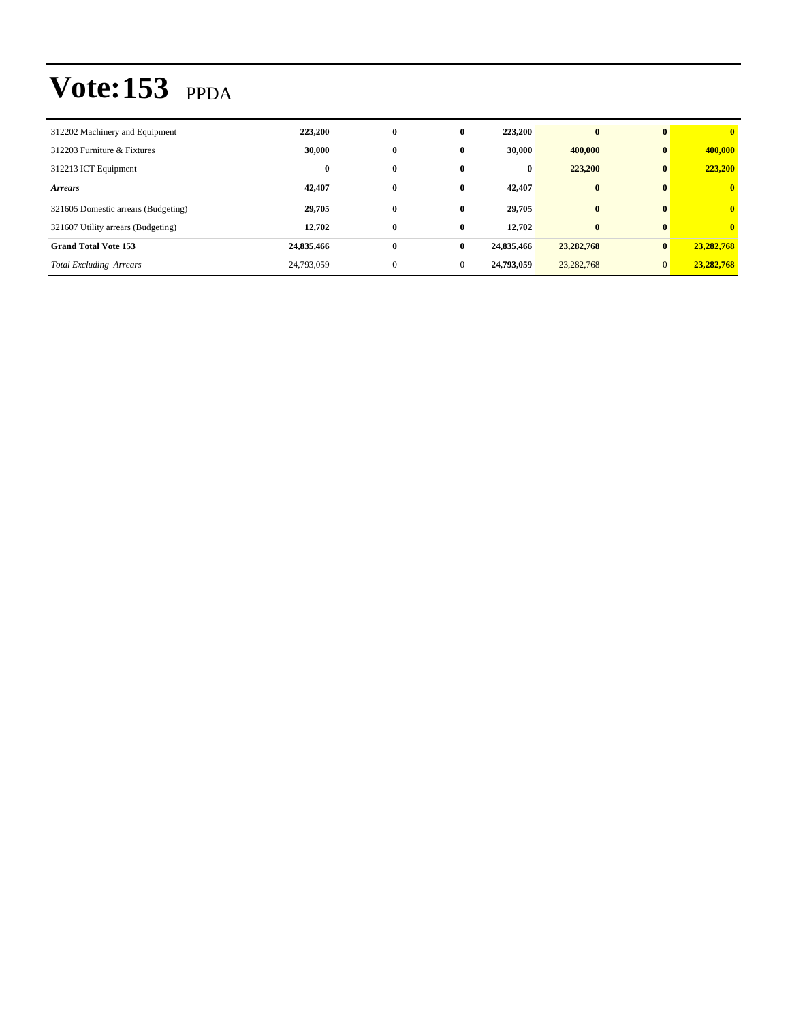| 312202 Machinery and Equipment      | 223,200    | $\bf{0}$     | $\bf{0}$ | 223,200    | $\mathbf{0}$ | $\mathbf{0}$   | $\mathbf{0}$ |
|-------------------------------------|------------|--------------|----------|------------|--------------|----------------|--------------|
| 312203 Furniture & Fixtures         | 30,000     | $\bf{0}$     | 0        | 30,000     | 400,000      | $\bf{0}$       | 400,000      |
| 312213 ICT Equipment                | $\bf{0}$   | 0            | 0        | $\bf{0}$   | 223,200      | $\bf{0}$       | 223,200      |
| <b>Arrears</b>                      | 42,407     | 0            | 0        | 42,407     | $\bf{0}$     | $\mathbf{0}$   | $\mathbf{0}$ |
| 321605 Domestic arrears (Budgeting) | 29,705     | $\bf{0}$     | 0        | 29,705     | $\bf{0}$     | $\mathbf{0}$   | $\mathbf{0}$ |
| 321607 Utility arrears (Budgeting)  | 12.702     | $\mathbf{0}$ | 0        | 12.702     | $\mathbf{0}$ | $\mathbf{0}$   | $\mathbf{0}$ |
| <b>Grand Total Vote 153</b>         | 24,835,466 | $\bf{0}$     | $\bf{0}$ | 24,835,466 | 23, 282, 768 | $\bf{0}$       | 23,282,768   |
| <b>Total Excluding Arrears</b>      | 24,793,059 | $\mathbf{0}$ | $\Omega$ | 24,793,059 | 23, 282, 768 | $\overline{0}$ | 23,282,768   |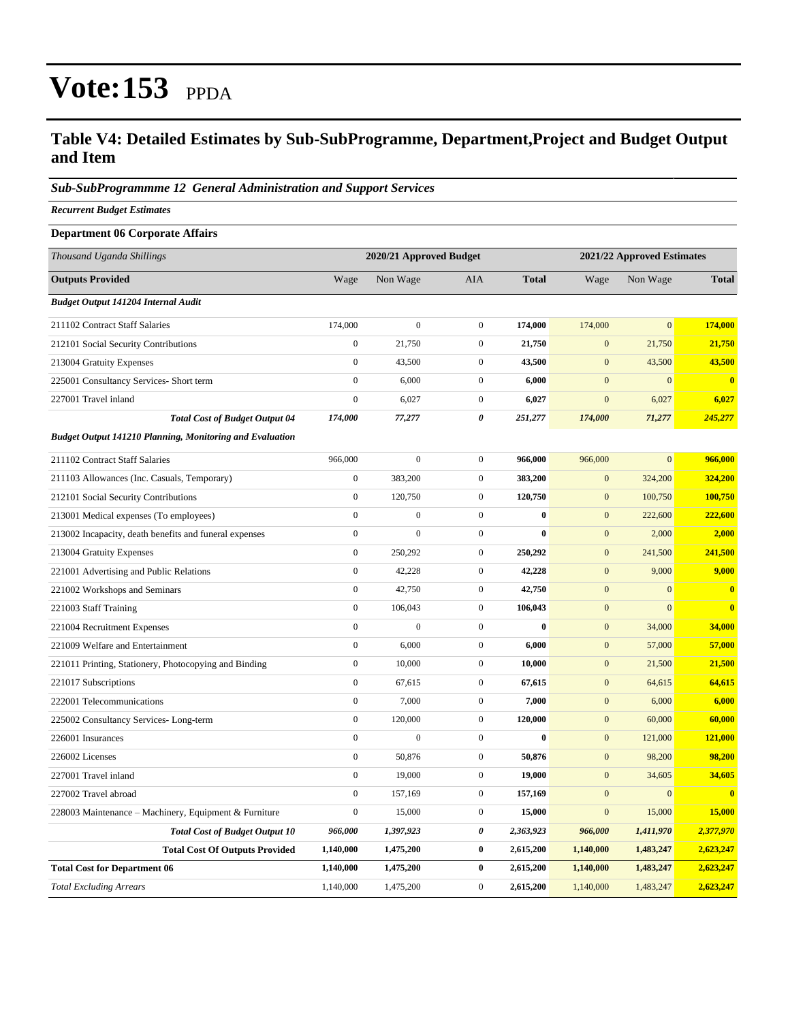#### **Table V4: Detailed Estimates by Sub-SubProgramme, Department,Project and Budget Output and Item**

#### *Sub-SubProgrammme 12 General Administration and Support Services*

*Recurrent Budget Estimates*

| <b>Department 06 Corporate Affairs</b>                          |                  |                         |                  |              |                  |                            |              |  |
|-----------------------------------------------------------------|------------------|-------------------------|------------------|--------------|------------------|----------------------------|--------------|--|
| Thousand Uganda Shillings                                       |                  | 2020/21 Approved Budget |                  |              |                  | 2021/22 Approved Estimates |              |  |
| <b>Outputs Provided</b>                                         | Wage             | Non Wage                | <b>AIA</b>       | <b>Total</b> | Wage             | Non Wage                   | <b>Total</b> |  |
| <b>Budget Output 141204 Internal Audit</b>                      |                  |                         |                  |              |                  |                            |              |  |
| 211102 Contract Staff Salaries                                  | 174,000          | $\boldsymbol{0}$        | $\boldsymbol{0}$ | 174,000      | 174,000          | $\mathbf{0}$               | 174,000      |  |
| 212101 Social Security Contributions                            | $\overline{0}$   | 21,750                  | $\boldsymbol{0}$ | 21,750       | $\mathbf{0}$     | 21,750                     | 21,750       |  |
| 213004 Gratuity Expenses                                        | $\overline{0}$   | 43,500                  | $\boldsymbol{0}$ | 43,500       | $\mathbf{0}$     | 43,500                     | 43,500       |  |
| 225001 Consultancy Services- Short term                         | $\mathbf{0}$     | 6,000                   | $\boldsymbol{0}$ | 6,000        | $\mathbf{0}$     | $\mathbf{0}$               | $\bf{0}$     |  |
| 227001 Travel inland                                            | $\boldsymbol{0}$ | 6,027                   | $\boldsymbol{0}$ | 6,027        | $\mathbf{0}$     | 6,027                      | 6,027        |  |
| <b>Total Cost of Budget Output 04</b>                           | 174,000          | 77,277                  | 0                | 251,277      | 174,000          | 71,277                     | 245,277      |  |
| <b>Budget Output 141210 Planning, Monitoring and Evaluation</b> |                  |                         |                  |              |                  |                            |              |  |
| 211102 Contract Staff Salaries                                  | 966,000          | $\boldsymbol{0}$        | $\boldsymbol{0}$ | 966,000      | 966,000          | $\mathbf{0}$               | 966,000      |  |
| 211103 Allowances (Inc. Casuals, Temporary)                     | $\boldsymbol{0}$ | 383,200                 | $\boldsymbol{0}$ | 383,200      | $\mathbf{0}$     | 324,200                    | 324,200      |  |
| 212101 Social Security Contributions                            | $\mathbf{0}$     | 120,750                 | $\boldsymbol{0}$ | 120,750      | $\mathbf{0}$     | 100,750                    | 100,750      |  |
| 213001 Medical expenses (To employees)                          | $\boldsymbol{0}$ | $\boldsymbol{0}$        | $\boldsymbol{0}$ | $\bf{0}$     | $\mathbf{0}$     | 222,600                    | 222,600      |  |
| 213002 Incapacity, death benefits and funeral expenses          | $\boldsymbol{0}$ | $\boldsymbol{0}$        | $\boldsymbol{0}$ | $\bf{0}$     | $\mathbf{0}$     | 2,000                      | 2,000        |  |
| 213004 Gratuity Expenses                                        | $\boldsymbol{0}$ | 250,292                 | $\boldsymbol{0}$ | 250,292      | $\mathbf{0}$     | 241,500                    | 241,500      |  |
| 221001 Advertising and Public Relations                         | $\mathbf{0}$     | 42,228                  | $\boldsymbol{0}$ | 42,228       | $\mathbf{0}$     | 9,000                      | 9,000        |  |
| 221002 Workshops and Seminars                                   | $\boldsymbol{0}$ | 42,750                  | $\boldsymbol{0}$ | 42,750       | $\boldsymbol{0}$ | $\mathbf{0}$               | $\bf{0}$     |  |
| 221003 Staff Training                                           | $\boldsymbol{0}$ | 106,043                 | $\boldsymbol{0}$ | 106,043      | $\mathbf{0}$     | $\overline{0}$             | $\bf{0}$     |  |
| 221004 Recruitment Expenses                                     | $\overline{0}$   | $\overline{0}$          | $\boldsymbol{0}$ | $\bf{0}$     | $\mathbf{0}$     | 34,000                     | 34,000       |  |
| 221009 Welfare and Entertainment                                | $\boldsymbol{0}$ | 6,000                   | $\boldsymbol{0}$ | 6,000        | $\boldsymbol{0}$ | 57,000                     | 57,000       |  |
| 221011 Printing, Stationery, Photocopying and Binding           | $\mathbf{0}$     | 10,000                  | $\boldsymbol{0}$ | 10,000       | $\mathbf{0}$     | 21,500                     | 21,500       |  |
| 221017 Subscriptions                                            | $\boldsymbol{0}$ | 67,615                  | $\boldsymbol{0}$ | 67,615       | $\mathbf{0}$     | 64,615                     | 64,615       |  |
| 222001 Telecommunications                                       | $\overline{0}$   | 7,000                   | $\mathbf{0}$     | 7,000        | $\mathbf{0}$     | 6,000                      | 6,000        |  |
| 225002 Consultancy Services-Long-term                           | $\overline{0}$   | 120,000                 | $\boldsymbol{0}$ | 120,000      | $\mathbf{0}$     | 60,000                     | 60,000       |  |
| 226001 Insurances                                               | $\boldsymbol{0}$ | $\overline{0}$          | $\boldsymbol{0}$ | $\bf{0}$     | $\mathbf{0}$     | 121,000                    | 121,000      |  |
| 226002 Licenses                                                 | $\boldsymbol{0}$ | 50,876                  | $\boldsymbol{0}$ | 50,876       | $\mathbf{0}$     | 98,200                     | 98,200       |  |
| 227001 Travel inland                                            | $\boldsymbol{0}$ | 19,000                  | $\boldsymbol{0}$ | 19,000       | $\mathbf{0}$     | 34,605                     | 34,605       |  |
| 227002 Travel abroad                                            | $\boldsymbol{0}$ | 157,169                 | $\boldsymbol{0}$ | 157,169      | $\mathbf{0}$     | $\mathbf{0}$               | $\bf{0}$     |  |
| 228003 Maintenance – Machinery, Equipment & Furniture           | $\boldsymbol{0}$ | 15,000                  | $\mathbf{0}$     | 15,000       | $\mathbf{0}$     | 15,000                     | 15,000       |  |
| <b>Total Cost of Budget Output 10</b>                           | 966,000          | 1,397,923               | $\pmb{\theta}$   | 2,363,923    | 966,000          | 1,411,970                  | 2,377,970    |  |
| <b>Total Cost Of Outputs Provided</b>                           | 1,140,000        | 1,475,200               | $\bf{0}$         | 2,615,200    | 1,140,000        | 1,483,247                  | 2,623,247    |  |
| <b>Total Cost for Department 06</b>                             | 1,140,000        | 1,475,200               | $\bf{0}$         | 2,615,200    | 1,140,000        | 1,483,247                  | 2,623,247    |  |
| <b>Total Excluding Arrears</b>                                  | 1,140,000        | 1,475,200               | $\mathbf{0}$     | 2,615,200    | 1,140,000        | 1,483,247                  | 2,623,247    |  |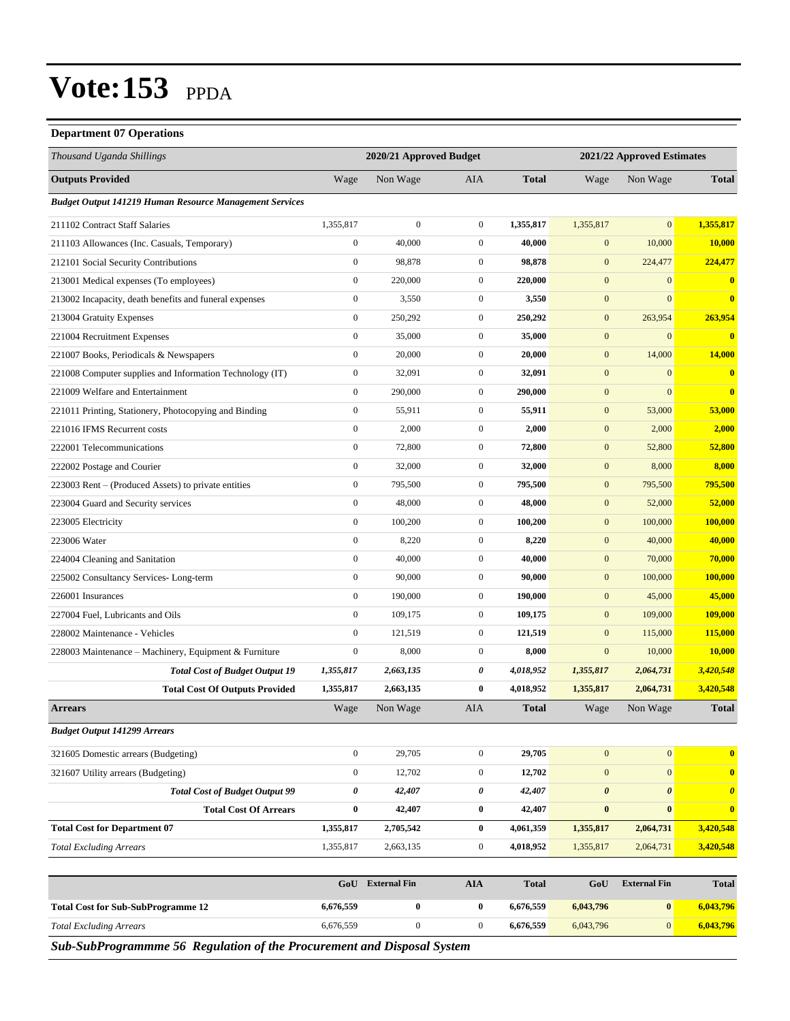#### **Department 07 Operations**

| Thousand Uganda Shillings                                      |                  | 2020/21 Approved Budget |                  |              |                       | 2021/22 Approved Estimates |                       |
|----------------------------------------------------------------|------------------|-------------------------|------------------|--------------|-----------------------|----------------------------|-----------------------|
| <b>Outputs Provided</b>                                        | Wage             | Non Wage                | AIA              | <b>Total</b> | Wage                  | Non Wage                   | <b>Total</b>          |
| <b>Budget Output 141219 Human Resource Management Services</b> |                  |                         |                  |              |                       |                            |                       |
| 211102 Contract Staff Salaries                                 | 1,355,817        | $\boldsymbol{0}$        | $\overline{0}$   | 1,355,817    | 1,355,817             | $\mathbf{0}$               | 1,355,817             |
| 211103 Allowances (Inc. Casuals, Temporary)                    | $\boldsymbol{0}$ | 40,000                  | $\mathbf{0}$     | 40,000       | $\mathbf{0}$          | 10,000                     | 10,000                |
| 212101 Social Security Contributions                           | $\boldsymbol{0}$ | 98,878                  | $\boldsymbol{0}$ | 98,878       | $\mathbf{0}$          | 224,477                    | 224,477               |
| 213001 Medical expenses (To employees)                         | $\boldsymbol{0}$ | 220,000                 | $\boldsymbol{0}$ | 220,000      | $\mathbf{0}$          | $\boldsymbol{0}$           | $\bf{0}$              |
| 213002 Incapacity, death benefits and funeral expenses         | $\boldsymbol{0}$ | 3,550                   | $\mathbf{0}$     | 3,550        | $\mathbf{0}$          | $\mathbf{0}$               | $\bf{0}$              |
| 213004 Gratuity Expenses                                       | $\boldsymbol{0}$ | 250,292                 | $\mathbf{0}$     | 250,292      | $\mathbf{0}$          | 263,954                    | 263,954               |
| 221004 Recruitment Expenses                                    | $\boldsymbol{0}$ | 35,000                  | $\boldsymbol{0}$ | 35,000       | $\mathbf{0}$          | $\mathbf{0}$               | $\bf{0}$              |
| 221007 Books, Periodicals & Newspapers                         | $\boldsymbol{0}$ | 20,000                  | $\boldsymbol{0}$ | 20,000       | $\mathbf{0}$          | 14,000                     | 14,000                |
| 221008 Computer supplies and Information Technology (IT)       | $\boldsymbol{0}$ | 32,091                  | $\boldsymbol{0}$ | 32,091       | $\boldsymbol{0}$      | $\boldsymbol{0}$           | $\bf{0}$              |
| 221009 Welfare and Entertainment                               | $\boldsymbol{0}$ | 290,000                 | $\mathbf{0}$     | 290,000      | $\mathbf{0}$          | $\mathbf{0}$               | $\bf{0}$              |
| 221011 Printing, Stationery, Photocopying and Binding          | $\boldsymbol{0}$ | 55,911                  | $\mathbf{0}$     | 55,911       | $\mathbf{0}$          | 53,000                     | 53,000                |
| 221016 IFMS Recurrent costs                                    | $\boldsymbol{0}$ | 2,000                   | $\boldsymbol{0}$ | 2,000        | $\boldsymbol{0}$      | 2,000                      | 2,000                 |
| 222001 Telecommunications                                      | $\boldsymbol{0}$ | 72,800                  | $\boldsymbol{0}$ | 72,800       | $\mathbf{0}$          | 52,800                     | 52,800                |
| 222002 Postage and Courier                                     | $\boldsymbol{0}$ | 32,000                  | $\boldsymbol{0}$ | 32,000       | $\boldsymbol{0}$      | 8,000                      | 8,000                 |
| 223003 Rent - (Produced Assets) to private entities            | $\boldsymbol{0}$ | 795,500                 | $\mathbf{0}$     | 795,500      | $\mathbf{0}$          | 795,500                    | 795,500               |
| 223004 Guard and Security services                             | $\boldsymbol{0}$ | 48,000                  | $\mathbf{0}$     | 48,000       | $\mathbf{0}$          | 52,000                     | 52,000                |
| 223005 Electricity                                             | $\boldsymbol{0}$ | 100,200                 | $\mathbf{0}$     | 100,200      | $\boldsymbol{0}$      | 100,000                    | 100,000               |
| 223006 Water                                                   | $\boldsymbol{0}$ | 8,220                   | $\boldsymbol{0}$ | 8,220        | $\mathbf{0}$          | 40,000                     | 40,000                |
| 224004 Cleaning and Sanitation                                 | $\boldsymbol{0}$ | 40,000                  | $\boldsymbol{0}$ | 40,000       | $\mathbf{0}$          | 70,000                     | 70,000                |
| 225002 Consultancy Services-Long-term                          | $\boldsymbol{0}$ | 90,000                  | $\mathbf{0}$     | 90,000       | $\mathbf{0}$          | 100,000                    | 100,000               |
| 226001 Insurances                                              | $\mathbf{0}$     | 190,000                 | $\mathbf{0}$     | 190,000      | $\mathbf{0}$          | 45,000                     | 45,000                |
| 227004 Fuel, Lubricants and Oils                               | $\boldsymbol{0}$ | 109,175                 | $\mathbf{0}$     | 109,175      | $\mathbf{0}$          | 109,000                    | 109,000               |
| 228002 Maintenance - Vehicles                                  | $\boldsymbol{0}$ | 121,519                 | $\boldsymbol{0}$ | 121,519      | $\mathbf{0}$          | 115,000                    | 115,000               |
| 228003 Maintenance - Machinery, Equipment & Furniture          | $\boldsymbol{0}$ | 8,000                   | $\boldsymbol{0}$ | 8,000        | $\mathbf{0}$          | 10,000                     | 10,000                |
| <b>Total Cost of Budget Output 19</b>                          | 1,355,817        | 2,663,135               | 0                | 4,018,952    | 1,355,817             | 2,064,731                  | 3,420,548             |
| <b>Total Cost Of Outputs Provided</b>                          | 1,355,817        | 2,663,135               | $\bf{0}$         | 4,018,952    | 1,355,817             | 2,064,731                  | 3,420,548             |
| <b>Arrears</b>                                                 | Wage             | Non Wage                | AIA              | <b>Total</b> | Wage                  | Non Wage                   | <b>Total</b>          |
| <b>Budget Output 141299 Arrears</b>                            |                  |                         |                  |              |                       |                            |                       |
| 321605 Domestic arrears (Budgeting)                            | $\boldsymbol{0}$ | 29,705                  | $\boldsymbol{0}$ | 29,705       | $\boldsymbol{0}$      | 0                          | $\bf{0}$              |
| 321607 Utility arrears (Budgeting)                             | $\boldsymbol{0}$ | 12,702                  | $\boldsymbol{0}$ | 12,702       | $\boldsymbol{0}$      | $\boldsymbol{0}$           | $\bf{0}$              |
| <b>Total Cost of Budget Output 99</b>                          | $\pmb{\theta}$   | 42,407                  | 0                | 42,407       | $\boldsymbol{\theta}$ | $\boldsymbol{\theta}$      | $\boldsymbol{\theta}$ |
| <b>Total Cost Of Arrears</b>                                   | $\bf{0}$         | 42,407                  | $\bf{0}$         | 42,407       | $\bf{0}$              | $\bf{0}$                   | $\bf{0}$              |
| <b>Total Cost for Department 07</b>                            | 1,355,817        | 2,705,542               | $\bf{0}$         | 4,061,359    | 1,355,817             | 2,064,731                  | 3,420,548             |
| <b>Total Excluding Arrears</b>                                 | 1,355,817        | 2,663,135               | $\boldsymbol{0}$ | 4,018,952    | 1,355,817             | 2,064,731                  | 3,420,548             |
|                                                                |                  |                         |                  |              |                       |                            |                       |
|                                                                | GoU              | <b>External Fin</b>     | <b>AIA</b>       | <b>Total</b> | GoU                   | <b>External Fin</b>        | <b>Total</b>          |
| <b>Total Cost for Sub-SubProgramme 12</b>                      | 6,676,559        | $\boldsymbol{0}$        | $\bf{0}$         | 6,676,559    | 6,043,796             | $\boldsymbol{0}$           | 6,043,796             |
| <b>Total Excluding Arrears</b>                                 | 6,676,559        | $\boldsymbol{0}$        | $\boldsymbol{0}$ | 6,676,559    | 6,043,796             | $\mathbf{0}$               | 6,043,796             |

*Sub-SubProgrammme 56 Regulation of the Procurement and Disposal System*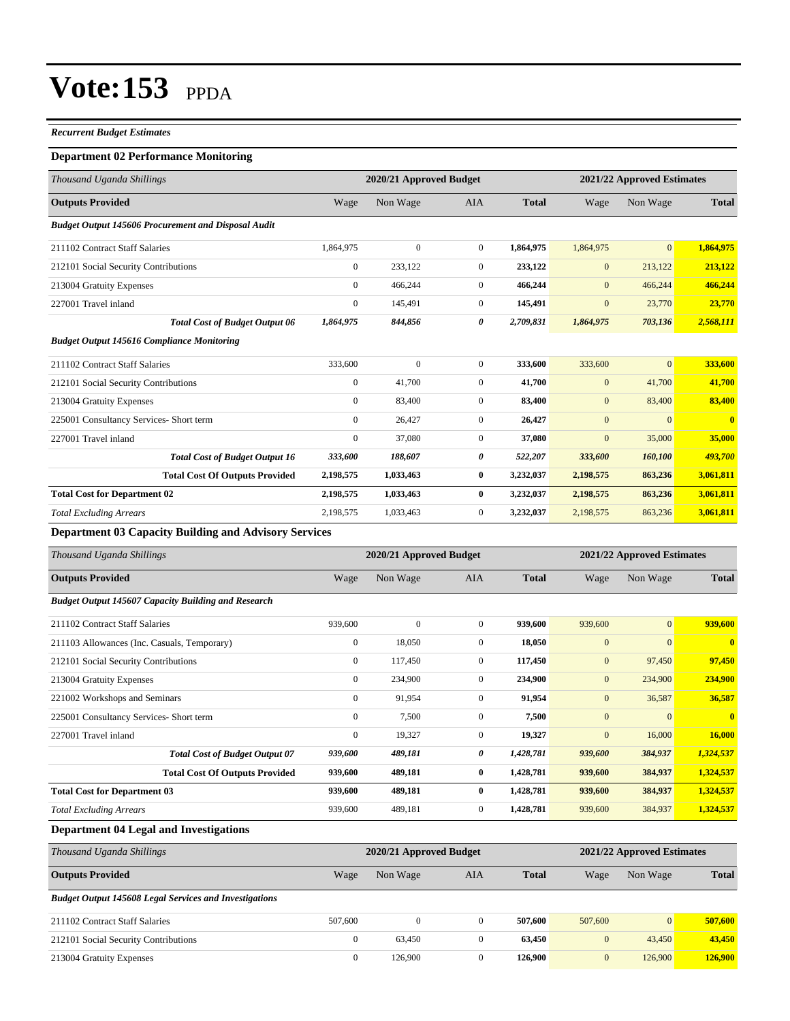#### *Recurrent Budget Estimates*

#### **Department 02 Performance Monitoring**

| Thousand Uganda Shillings                                    |                | 2020/21 Approved Budget |                |              |                  | 2021/22 Approved Estimates |              |
|--------------------------------------------------------------|----------------|-------------------------|----------------|--------------|------------------|----------------------------|--------------|
| <b>Outputs Provided</b>                                      | Wage           | Non Wage                | <b>AIA</b>     | <b>Total</b> | Wage             | Non Wage                   | <b>Total</b> |
| <b>Budget Output 145606 Procurement and Disposal Audit</b>   |                |                         |                |              |                  |                            |              |
| 211102 Contract Staff Salaries                               | 1,864,975      | $\mathbf{0}$            | $\overline{0}$ | 1,864,975    | 1,864,975        | $\overline{0}$             | 1,864,975    |
| 212101 Social Security Contributions                         | $\overline{0}$ | 233,122                 | $\overline{0}$ | 233,122      | $\mathbf{0}$     | 213,122                    | 213,122      |
| 213004 Gratuity Expenses                                     | $\mathbf{0}$   | 466,244                 | $\overline{0}$ | 466,244      | $\boldsymbol{0}$ | 466,244                    | 466,244      |
| 227001 Travel inland                                         | $\mathbf{0}$   | 145,491                 | $\overline{0}$ | 145,491      | $\mathbf{0}$     | 23,770                     | 23,770       |
| <b>Total Cost of Budget Output 06</b>                        | 1,864,975      | 844,856                 | 0              | 2,709,831    | 1,864,975        | 703,136                    | 2,568,111    |
| <b>Budget Output 145616 Compliance Monitoring</b>            |                |                         |                |              |                  |                            |              |
| 211102 Contract Staff Salaries                               | 333,600        | $\mathbf{0}$            | $\overline{0}$ | 333,600      | 333,600          | $\overline{0}$             | 333,600      |
| 212101 Social Security Contributions                         | $\mathbf{0}$   | 41,700                  | $\overline{0}$ | 41,700       | $\mathbf{0}$     | 41,700                     | 41,700       |
| 213004 Gratuity Expenses                                     | $\mathbf{0}$   | 83,400                  | $\overline{0}$ | 83,400       | $\boldsymbol{0}$ | 83,400                     | 83,400       |
| 225001 Consultancy Services- Short term                      | $\Omega$       | 26,427                  | $\overline{0}$ | 26,427       | $\mathbf{0}$     | $\Omega$                   | $\bf{0}$     |
| 227001 Travel inland                                         | $\mathbf{0}$   | 37,080                  | $\overline{0}$ | 37,080       | $\mathbf{0}$     | 35,000                     | 35,000       |
| <b>Total Cost of Budget Output 16</b>                        | 333,600        | 188,607                 | 0              | 522,207      | 333,600          | 160,100                    | 493,700      |
| <b>Total Cost Of Outputs Provided</b>                        | 2,198,575      | 1,033,463               | $\bf{0}$       | 3,232,037    | 2,198,575        | 863,236                    | 3,061,811    |
| <b>Total Cost for Department 02</b>                          | 2,198,575      | 1,033,463               | $\bf{0}$       | 3,232,037    | 2,198,575        | 863,236                    | 3,061,811    |
| <b>Total Excluding Arrears</b>                               | 2,198,575      | 1,033,463               | $\overline{0}$ | 3,232,037    | 2,198,575        | 863,236                    | 3,061,811    |
| <b>Department 03 Capacity Building and Advisory Services</b> |                |                         |                |              |                  |                            |              |
| Thousand Uganda Shillings                                    |                | 2020/21 Approved Budget |                |              |                  | 2021/22 Approved Estimates |              |

| Thousana Oganaa Shuungs                                    |                  | 2020/21 Approved Duuget |                |              |              | 2021/22 Approved Estimates |              |
|------------------------------------------------------------|------------------|-------------------------|----------------|--------------|--------------|----------------------------|--------------|
| <b>Outputs Provided</b>                                    | Wage             | Non Wage                | <b>AIA</b>     | <b>Total</b> | Wage         | Non Wage                   | <b>Total</b> |
| <b>Budget Output 145607 Capacity Building and Research</b> |                  |                         |                |              |              |                            |              |
| 211102 Contract Staff Salaries                             | 939,600          | $\mathbf{0}$            | $\overline{0}$ | 939,600      | 939,600      | $\mathbf{0}$               | 939,600      |
| 211103 Allowances (Inc. Casuals, Temporary)                | $\mathbf{0}$     | 18,050                  | $\overline{0}$ | 18,050       | $\mathbf{0}$ | $\mathbf{0}$               | $\mathbf{0}$ |
| 212101 Social Security Contributions                       | $\boldsymbol{0}$ | 117,450                 | $\mathbf{0}$   | 117,450      | $\mathbf{0}$ | 97,450                     | 97,450       |
| 213004 Gratuity Expenses                                   | $\mathbf{0}$     | 234,900                 | $\overline{0}$ | 234,900      | $\mathbf{0}$ | 234,900                    | 234,900      |
| 221002 Workshops and Seminars                              | $\mathbf{0}$     | 91,954                  | $\mathbf{0}$   | 91,954       | $\mathbf{0}$ | 36,587                     | 36,587       |
| 225001 Consultancy Services- Short term                    | $\mathbf{0}$     | 7,500                   | $\overline{0}$ | 7,500        | $\mathbf{0}$ | $\Omega$                   | $\mathbf{0}$ |
| 227001 Travel inland                                       | $\mathbf{0}$     | 19,327                  | $\overline{0}$ | 19,327       | $\mathbf{0}$ | 16,000                     | 16,000       |
| <b>Total Cost of Budget Output 07</b>                      | 939,600          | 489,181                 | 0              | 1,428,781    | 939,600      | 384,937                    | 1,324,537    |
| <b>Total Cost Of Outputs Provided</b>                      | 939,600          | 489,181                 | $\bf{0}$       | 1,428,781    | 939,600      | 384,937                    | 1,324,537    |
| <b>Total Cost for Department 03</b>                        | 939,600          | 489,181                 | $\bf{0}$       | 1,428,781    | 939,600      | 384,937                    | 1,324,537    |
| <b>Total Excluding Arrears</b>                             | 939,600          | 489,181                 | $\overline{0}$ | 1,428,781    | 939,600      | 384,937                    | 1,324,537    |

#### **Department 04 Legal and Investigations**

| Thousand Uganda Shillings                                     | 2021/22 Approved Estimates<br>2020/21 Approved Budget |              |     |              |              |                 |              |
|---------------------------------------------------------------|-------------------------------------------------------|--------------|-----|--------------|--------------|-----------------|--------------|
| <b>Outputs Provided</b>                                       | Wage                                                  | Non Wage     | AIA | <b>Total</b> | Wage         | Non Wage        | <b>Total</b> |
| <b>Budget Output 145608 Legal Services and Investigations</b> |                                                       |              |     |              |              |                 |              |
| 211102 Contract Staff Salaries                                | 507,600                                               | $\mathbf{0}$ |     | 507,600      | 507,600      | $\vert 0 \vert$ | 507,600      |
| 212101 Social Security Contributions                          | $\mathbf{0}$                                          | 63,450       |     | 63.450       | $\mathbf{0}$ | 43,450          | 43,450       |
| 213004 Gratuity Expenses                                      | $\overline{0}$                                        | 126,900      |     | 126,900      | $\mathbf{0}$ | 126,900         | 126,900      |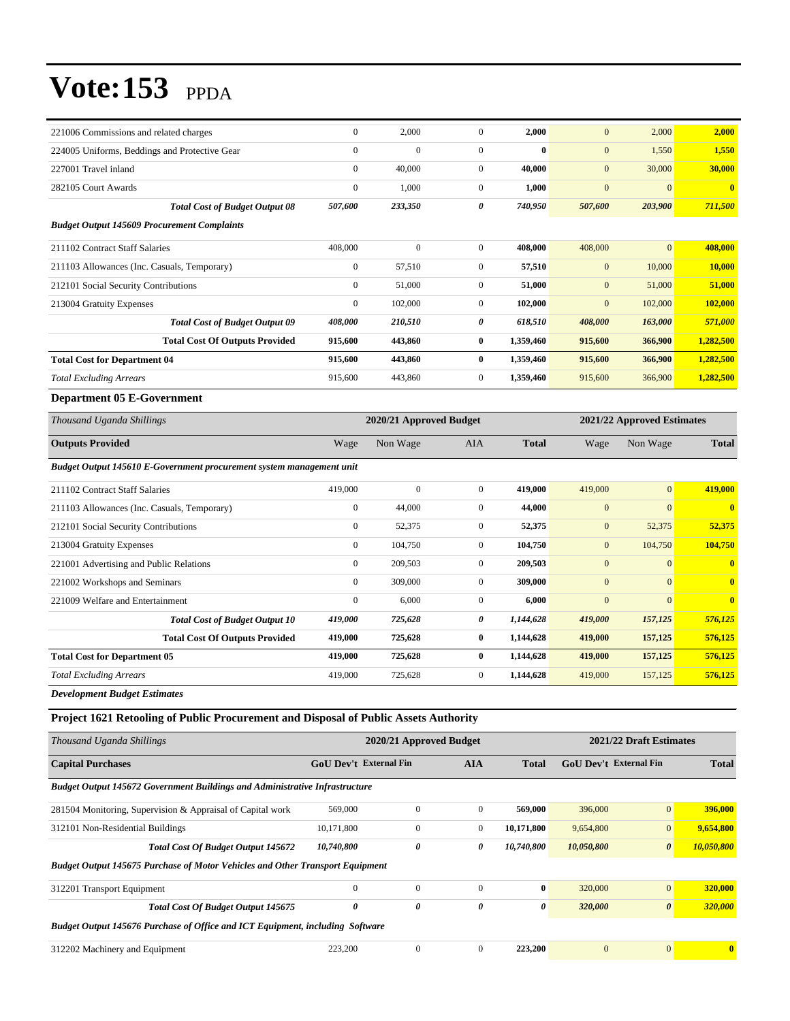| 221006 Commissions and related charges                                               | $\mathbf{0}$                  | 2,000                   | $\mathbf{0}$          | 2,000            | $\mathbf{0}$           | 2,000                      | 2,000          |  |
|--------------------------------------------------------------------------------------|-------------------------------|-------------------------|-----------------------|------------------|------------------------|----------------------------|----------------|--|
| 224005 Uniforms, Beddings and Protective Gear                                        | $\boldsymbol{0}$              | $\mathbf{0}$            | $\boldsymbol{0}$      | $\bf{0}$         | $\mathbf{0}$           | 1,550                      | 1,550          |  |
| 227001 Travel inland                                                                 | $\boldsymbol{0}$              | 40,000                  | $\mathbf{0}$          | 40,000           | $\boldsymbol{0}$       | 30,000                     | 30,000         |  |
| 282105 Court Awards                                                                  | $\boldsymbol{0}$              | 1,000                   | $\mathbf{0}$          | 1,000            | $\boldsymbol{0}$       | $\mathbf{0}$               | $\mathbf{0}$   |  |
| <b>Total Cost of Budget Output 08</b>                                                | 507,600                       | 233,350                 | 0                     | 740,950          | 507,600                | 203,900                    | 711,500        |  |
| <b>Budget Output 145609 Procurement Complaints</b>                                   |                               |                         |                       |                  |                        |                            |                |  |
| 211102 Contract Staff Salaries                                                       | 408,000                       | $\boldsymbol{0}$        | $\mathbf{0}$          | 408,000          | 408,000                | $\mathbf{0}$               | 408,000        |  |
| 211103 Allowances (Inc. Casuals, Temporary)                                          | $\boldsymbol{0}$              | 57,510                  | $\boldsymbol{0}$      | 57,510           | $\boldsymbol{0}$       | 10,000                     | 10,000         |  |
| 212101 Social Security Contributions                                                 | $\boldsymbol{0}$              | 51,000                  | $\mathbf{0}$          | 51,000           | $\mathbf{0}$           | 51,000                     | 51,000         |  |
| 213004 Gratuity Expenses                                                             | $\boldsymbol{0}$              | 102,000                 | $\mathbf{0}$          | 102,000          | $\mathbf{0}$           | 102,000                    | 102,000        |  |
| <b>Total Cost of Budget Output 09</b>                                                | 408,000                       | 210,510                 | 0                     | 618,510          | 408,000                | 163,000                    | 571,000        |  |
| <b>Total Cost Of Outputs Provided</b>                                                | 915,600                       | 443,860                 | $\bf{0}$              | 1,359,460        | 915,600                | 366,900                    | 1,282,500      |  |
| <b>Total Cost for Department 04</b>                                                  | 915,600                       | 443,860                 | $\bf{0}$              | 1,359,460        | 915,600                | 366,900                    | 1,282,500      |  |
| <b>Total Excluding Arrears</b>                                                       | 915,600                       | 443,860                 | $\mathbf{0}$          | 1,359,460        | 915,600                | 366,900                    | 1,282,500      |  |
| <b>Department 05 E-Government</b>                                                    |                               |                         |                       |                  |                        |                            |                |  |
| Thousand Uganda Shillings                                                            |                               | 2020/21 Approved Budget |                       |                  |                        | 2021/22 Approved Estimates |                |  |
| <b>Outputs Provided</b>                                                              | Wage                          | Non Wage                | AIA                   | <b>Total</b>     | Wage                   | Non Wage                   | <b>Total</b>   |  |
| Budget Output 145610 E-Government procurement system management unit                 |                               |                         |                       |                  |                        |                            |                |  |
| 211102 Contract Staff Salaries                                                       | 419,000                       | $\mathbf{0}$            | $\mathbf{0}$          | 419,000          | 419,000                | $\mathbf{0}$               | 419,000        |  |
| 211103 Allowances (Inc. Casuals, Temporary)                                          | $\boldsymbol{0}$              | 44,000                  | $\boldsymbol{0}$      | 44,000           | $\boldsymbol{0}$       | $\mathbf{0}$               | $\bf{0}$       |  |
| 212101 Social Security Contributions                                                 | $\boldsymbol{0}$              | 52,375                  | $\boldsymbol{0}$      | 52,375           | $\boldsymbol{0}$       | 52,375                     | 52,375         |  |
| 213004 Gratuity Expenses                                                             | $\boldsymbol{0}$              | 104,750                 | $\mathbf{0}$          | 104,750          | $\boldsymbol{0}$       | 104,750                    | 104,750        |  |
| 221001 Advertising and Public Relations                                              | $\boldsymbol{0}$              | 209,503                 | $\mathbf{0}$          | 209,503          | $\mathbf{0}$           | $\mathbf{0}$               | $\bf{0}$       |  |
| 221002 Workshops and Seminars                                                        | $\boldsymbol{0}$              | 309,000                 | $\boldsymbol{0}$      | 309,000          | $\mathbf{0}$           | $\mathbf{0}$               | $\bf{0}$       |  |
| 221009 Welfare and Entertainment                                                     | $\boldsymbol{0}$              | 6,000                   | $\boldsymbol{0}$      | 6,000            | $\mathbf{0}$           | $\mathbf{0}$               | $\bf{0}$       |  |
| <b>Total Cost of Budget Output 10</b>                                                | 419,000                       | 725,628                 | 0                     | 1,144,628        | 419,000                | 157,125                    | 576,125        |  |
| <b>Total Cost Of Outputs Provided</b>                                                | 419,000                       | 725,628                 | $\bf{0}$              | 1,144,628        | 419,000                | 157,125                    | 576,125        |  |
| <b>Total Cost for Department 05</b>                                                  | 419,000                       | 725,628                 | $\bf{0}$              | 1,144,628        | 419,000                | 157,125                    | 576,125        |  |
| <b>Total Excluding Arrears</b>                                                       | 419,000                       | 725,628                 | $\boldsymbol{0}$      | 1,144,628        | 419,000                | 157,125                    | 576,125        |  |
| Development Budget Estimates                                                         |                               |                         |                       |                  |                        |                            |                |  |
| Project 1621 Retooling of Public Procurement and Disposal of Public Assets Authority |                               |                         |                       |                  |                        |                            |                |  |
| Thousand Uganda Shillings                                                            |                               | 2020/21 Approved Budget |                       |                  |                        | 2021/22 Draft Estimates    |                |  |
| <b>Capital Purchases</b>                                                             | <b>GoU Dev't External Fin</b> |                         | <b>AIA</b>            | <b>Total</b>     | GoU Dev't External Fin |                            | <b>Total</b>   |  |
| <b>Budget Output 145672 Government Buildings and Administrative Infrastructure</b>   |                               |                         |                       |                  |                        |                            |                |  |
| 281504 Monitoring, Supervision & Appraisal of Capital work                           | 569,000                       | $\boldsymbol{0}$        | $\boldsymbol{0}$      | 569,000          | 396,000                | $\boldsymbol{0}$           | 396,000        |  |
| 312101 Non-Residential Buildings                                                     | 10,171,800                    | $\boldsymbol{0}$        | $\boldsymbol{0}$      | 10,171,800       | 9,654,800              | $\mathbf{0}$               | 9,654,800      |  |
| Total Cost Of Budget Output 145672                                                   | 10,740,800                    | 0                       | $\pmb{\theta}$        | 10,740,800       | 10,050,800             | $\boldsymbol{\theta}$      | 10,050,800     |  |
| <b>Budget Output 145675 Purchase of Motor Vehicles and Other Transport Equipment</b> |                               |                         |                       |                  |                        |                            |                |  |
| 312201 Transport Equipment                                                           | $\boldsymbol{0}$              | $\boldsymbol{0}$        | $\boldsymbol{0}$      | $\boldsymbol{0}$ | 320,000                | $\boldsymbol{0}$           | 320,000        |  |
| <b>Total Cost Of Budget Output 145675</b>                                            | 0                             | $\pmb{\theta}$          | $\boldsymbol{\theta}$ | 0                | 320,000                | $\pmb{\theta}$             | <b>320,000</b> |  |
| Budget Output 145676 Purchase of Office and ICT Equipment, including Software        |                               |                         |                       |                  |                        |                            |                |  |
| 312202 Machinery and Equipment                                                       | 223,200                       | $\boldsymbol{0}$        | $\boldsymbol{0}$      | 223,200          | $\boldsymbol{0}$       | $\boldsymbol{0}$           | $\bf{0}$       |  |